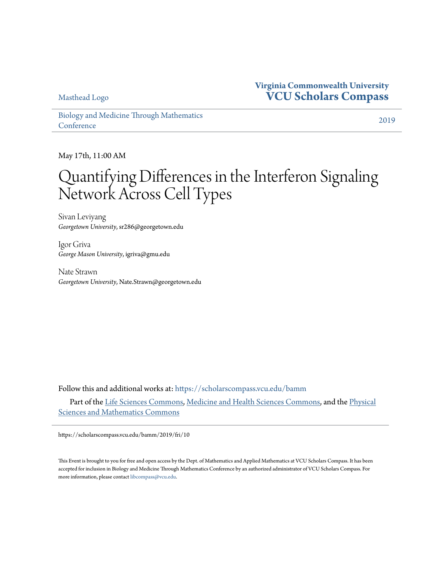[Masthead Logo](http://scholarscompass.vcu.edu/bamm/?utm_source=scholarscompass.vcu.edu%2Fbamm%2F2019%2Ffri%2F10&utm_medium=PDF&utm_campaign=PDFCoverPages)

## **Virginia Commonwealth University [VCU Scholars Compass](https://scholarscompass.vcu.edu?utm_source=scholarscompass.vcu.edu%2Fbamm%2F2019%2Ffri%2F10&utm_medium=PDF&utm_campaign=PDFCoverPages)**

[Biology and Medicine Through Mathematics](https://scholarscompass.vcu.edu/bamm?utm_source=scholarscompass.vcu.edu%2Fbamm%2F2019%2Ffri%2F10&utm_medium=PDF&utm_campaign=PDFCoverPages) **[Conference](https://scholarscompass.vcu.edu/bamm?utm_source=scholarscompass.vcu.edu%2Fbamm%2F2019%2Ffri%2F10&utm_medium=PDF&utm_campaign=PDFCoverPages)** 

[2019](https://scholarscompass.vcu.edu/bamm/2019?utm_source=scholarscompass.vcu.edu%2Fbamm%2F2019%2Ffri%2F10&utm_medium=PDF&utm_campaign=PDFCoverPages)

May 17th, 11:00 AM

## Quantifying Differences in the Interferon Signaling Network Across Cell Types

Sivan Leviyang *Georgetown University*, sr286@georgetown.edu

Igor Griva *George Mason University*, igriva@gmu.edu

Nate Strawn *Georgetown University*, Nate.Strawn@georgetown.edu

Follow this and additional works at: [https://scholarscompass.vcu.edu/bamm](https://scholarscompass.vcu.edu/bamm?utm_source=scholarscompass.vcu.edu%2Fbamm%2F2019%2Ffri%2F10&utm_medium=PDF&utm_campaign=PDFCoverPages)

Part of the [Life Sciences Commons](http://network.bepress.com/hgg/discipline/1016?utm_source=scholarscompass.vcu.edu%2Fbamm%2F2019%2Ffri%2F10&utm_medium=PDF&utm_campaign=PDFCoverPages), [Medicine and Health Sciences Commons](http://network.bepress.com/hgg/discipline/648?utm_source=scholarscompass.vcu.edu%2Fbamm%2F2019%2Ffri%2F10&utm_medium=PDF&utm_campaign=PDFCoverPages), and the [Physical](http://network.bepress.com/hgg/discipline/114?utm_source=scholarscompass.vcu.edu%2Fbamm%2F2019%2Ffri%2F10&utm_medium=PDF&utm_campaign=PDFCoverPages) [Sciences and Mathematics Commons](http://network.bepress.com/hgg/discipline/114?utm_source=scholarscompass.vcu.edu%2Fbamm%2F2019%2Ffri%2F10&utm_medium=PDF&utm_campaign=PDFCoverPages)

https://scholarscompass.vcu.edu/bamm/2019/fri/10

This Event is brought to you for free and open access by the Dept. of Mathematics and Applied Mathematics at VCU Scholars Compass. It has been accepted for inclusion in Biology and Medicine Through Mathematics Conference by an authorized administrator of VCU Scholars Compass. For more information, please contact [libcompass@vcu.edu](mailto:libcompass@vcu.edu).